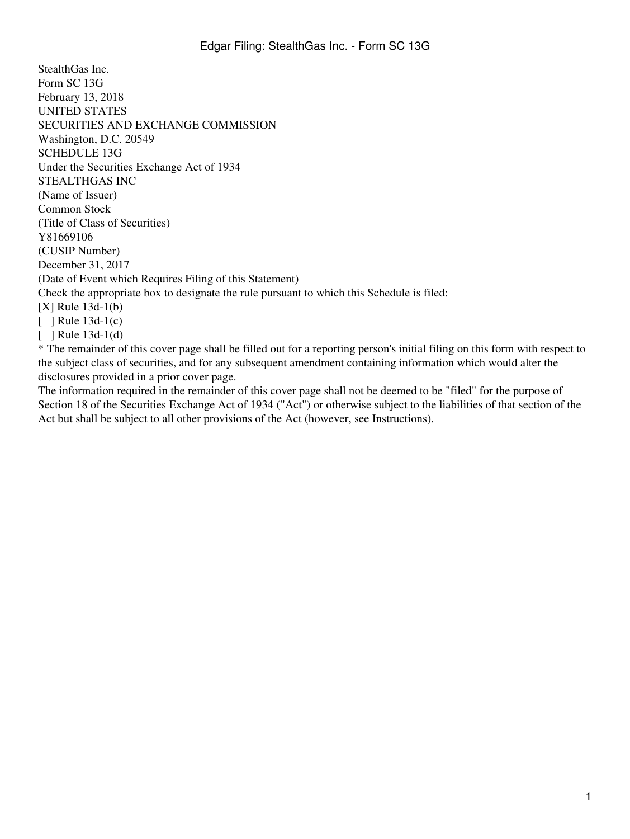StealthGas Inc. Form SC 13G February 13, 2018 UNITED STATES SECURITIES AND EXCHANGE COMMISSION Washington, D.C. 20549 SCHEDULE 13G Under the Securities Exchange Act of 1934 STEALTHGAS INC (Name of Issuer) Common Stock (Title of Class of Securities) Y81669106 (CUSIP Number) December 31, 2017 (Date of Event which Requires Filing of this Statement) Check the appropriate box to designate the rule pursuant to which this Schedule is filed: [X] Rule 13d-1(b)  $\lceil$  1 Rule 13d-1(c)  $\lceil$  ] Rule 13d-1(d) \* The remainder of this cover page shall be filled out for a reporting person's initial filing on this form with respect to

the subject class of securities, and for any subsequent amendment containing information which would alter the disclosures provided in a prior cover page.

The information required in the remainder of this cover page shall not be deemed to be "filed" for the purpose of Section 18 of the Securities Exchange Act of 1934 ("Act") or otherwise subject to the liabilities of that section of the Act but shall be subject to all other provisions of the Act (however, see Instructions).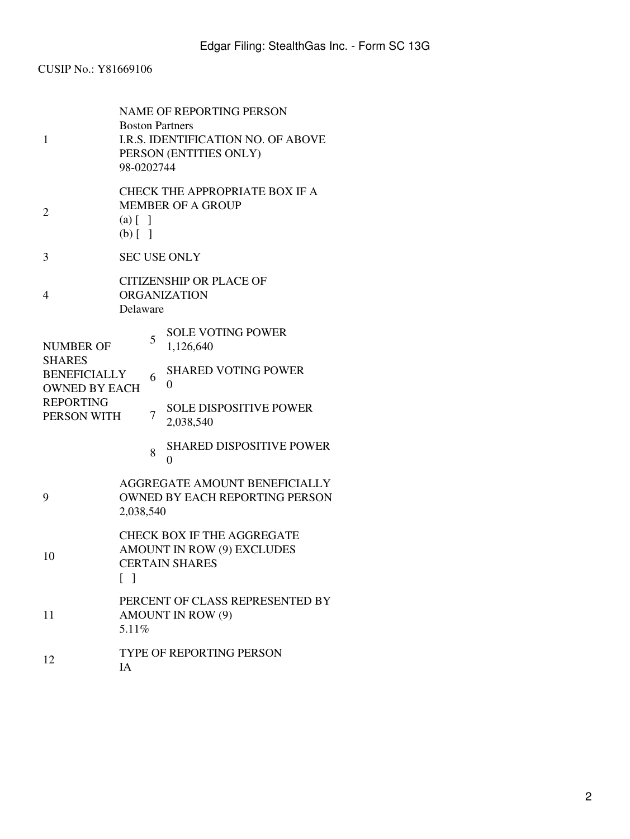# CUSIP No.: Y81669106

| 1                                                                                                                   | <b>NAME OF REPORTING PERSON</b><br><b>Boston Partners</b><br><b>I.R.S. IDENTIFICATION NO. OF ABOVE</b><br>PERSON (ENTITIES ONLY)<br>98-0202744 |   |                                                   |
|---------------------------------------------------------------------------------------------------------------------|------------------------------------------------------------------------------------------------------------------------------------------------|---|---------------------------------------------------|
| 2                                                                                                                   | <b>CHECK THE APPROPRIATE BOX IF A</b><br><b>MEMBER OF A GROUP</b><br>$(a)$ $\begin{bmatrix} 1 \end{bmatrix}$<br>$(b)$ [ ]                      |   |                                                   |
| 3                                                                                                                   | <b>SEC USE ONLY</b>                                                                                                                            |   |                                                   |
| 4                                                                                                                   | <b>CITIZENSHIP OR PLACE OF</b><br><b>ORGANIZATION</b><br>Delaware                                                                              |   |                                                   |
| <b>NUMBER OF</b><br><b>SHARES</b><br><b>BENEFICIALLY</b><br><b>OWNED BY EACH</b><br><b>REPORTING</b><br>PERSON WITH |                                                                                                                                                | 5 | <b>SOLE VOTING POWER</b><br>1,126,640             |
|                                                                                                                     |                                                                                                                                                | 6 | <b>SHARED VOTING POWER</b><br>$\overline{0}$      |
|                                                                                                                     |                                                                                                                                                | 7 | <b>SOLE DISPOSITIVE POWER</b><br>2,038,540        |
|                                                                                                                     |                                                                                                                                                | 8 | <b>SHARED DISPOSITIVE POWER</b><br>$\overline{0}$ |
| 9                                                                                                                   | AGGREGATE AMOUNT BENEFICIALLY<br><b>OWNED BY EACH REPORTING PERSON</b><br>2,038,540                                                            |   |                                                   |
| 10                                                                                                                  | <b>CHECK BOX IF THE AGGREGATE</b><br>AMOUNT IN ROW (9) EXCLUDES<br><b>CERTAIN SHARES</b><br>$\mathbf{I}$                                       |   |                                                   |
| 11                                                                                                                  | PERCENT OF CLASS REPRESENTED BY<br><b>AMOUNT IN ROW (9)</b><br>5.11%                                                                           |   |                                                   |
| 12                                                                                                                  | <b>TYPE OF REPORTING PERSON</b><br>IA                                                                                                          |   |                                                   |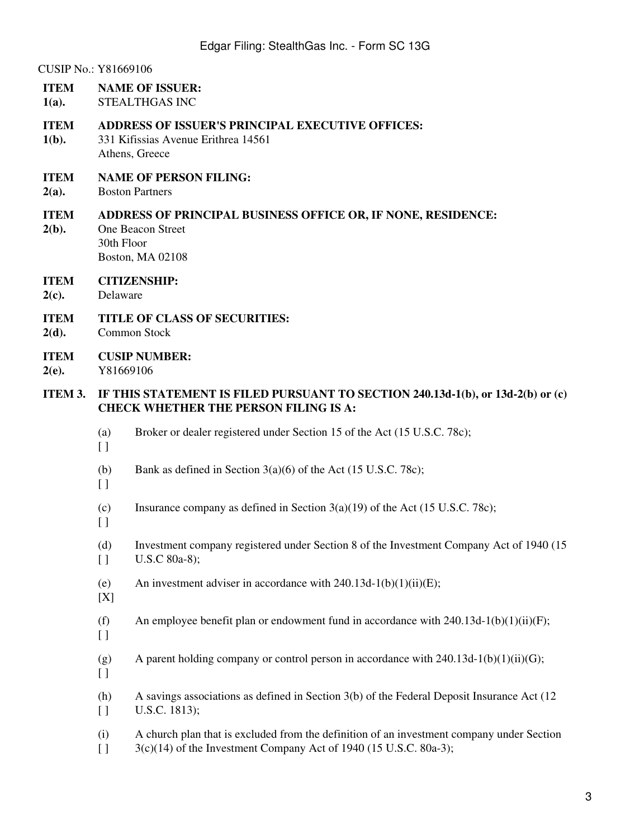CUSIP No.: Y81669106

- **ITEM NAME OF ISSUER:**
- **1(a).** STEALTHGAS INC

**ITEM ADDRESS OF ISSUER'S PRINCIPAL EXECUTIVE OFFICES:**

- **1(b).** 331 Kifissias Avenue Erithrea 14561 Athens, Greece
- **ITEM NAME OF PERSON FILING:**
- **2(a).** Boston Partners

#### **ITEM ADDRESS OF PRINCIPAL BUSINESS OFFICE OR, IF NONE, RESIDENCE:**

- One Beacon Street 30th Floor Boston, MA 02108
- **ITEM CITIZENSHIP:**
- **2(c).** Delaware

**2(b).**

**ITEM TITLE OF CLASS OF SECURITIES:**

- **2(d).** Common Stock
- **ITEM CUSIP NUMBER:**
- **2(e).** Y81669106

## **ITEM 3. IF THIS STATEMENT IS FILED PURSUANT TO SECTION 240.13d-1(b), or 13d-2(b) or (c) CHECK WHETHER THE PERSON FILING IS A:**

- (a) Broker or dealer registered under Section 15 of the Act (15 U.S.C. 78c);
- $\Box$
- (b) Bank as defined in Section 3(a)(6) of the Act (15 U.S.C. 78c);
- $\Box$
- (c) Insurance company as defined in Section 3(a)(19) of the Act (15 U.S.C. 78c);
- $\Box$
- (d)  $\lbrack$ Investment company registered under Section 8 of the Investment Company Act of 1940 (15 U.S.C 80a-8);
- (e) An investment adviser in accordance with  $240.13d-1(b)(1)(ii)(E)$ ;
- [X]

(f) An employee benefit plan or endowment fund in accordance with  $240.13d-1(b)(1)(ii)(F)$ ;

- $\lbrack$
- (g) A parent holding company or control person in accordance with 240.13d-1(b)(1)(ii)(G);
- $\Box$
- (h)  $\lbrack$ A savings associations as defined in Section 3(b) of the Federal Deposit Insurance Act (12 U.S.C. 1813);
	- (i)  $\Box$ A church plan that is excluded from the definition of an investment company under Section 3(c)(14) of the Investment Company Act of 1940 (15 U.S.C. 80a-3);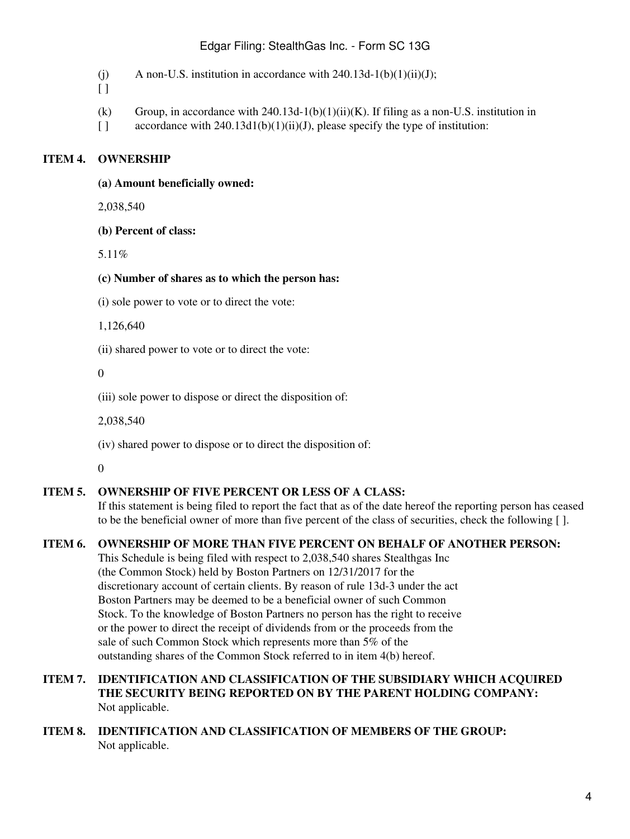# Edgar Filing: StealthGas Inc. - Form SC 13G

- (j) A non-U.S. institution in accordance with  $240.13d-1(b)(1)(ii)(J)$ ;
- $\lceil$   $\rceil$
- (k) Group, in accordance with  $240.13d-1(b)(1)(ii)(K)$ . If filing as a non-U.S. institution in
- $\Box$ accordance with  $240.13d1(b)(1)(ii)(J)$ , please specify the type of institution:

# **ITEM 4. OWNERSHIP**

#### **(a) Amount beneficially owned:**

2,038,540

**(b) Percent of class:**

5.11%

#### **(c) Number of shares as to which the person has:**

(i) sole power to vote or to direct the vote:

1,126,640

(ii) shared power to vote or to direct the vote:

0

(iii) sole power to dispose or direct the disposition of:

2,038,540

(iv) shared power to dispose or to direct the disposition of:

 $\Omega$ 

# **ITEM 5. OWNERSHIP OF FIVE PERCENT OR LESS OF A CLASS:**

If this statement is being filed to report the fact that as of the date hereof the reporting person has ceased to be the beneficial owner of more than five percent of the class of securities, check the following [ ].

# **ITEM 6. OWNERSHIP OF MORE THAN FIVE PERCENT ON BEHALF OF ANOTHER PERSON:**

This Schedule is being filed with respect to 2,038,540 shares Stealthgas Inc (the Common Stock) held by Boston Partners on 12/31/2017 for the discretionary account of certain clients. By reason of rule 13d-3 under the act Boston Partners may be deemed to be a beneficial owner of such Common Stock. To the knowledge of Boston Partners no person has the right to receive or the power to direct the receipt of dividends from or the proceeds from the sale of such Common Stock which represents more than 5% of the outstanding shares of the Common Stock referred to in item 4(b) hereof.

## **ITEM 7. IDENTIFICATION AND CLASSIFICATION OF THE SUBSIDIARY WHICH ACQUIRED THE SECURITY BEING REPORTED ON BY THE PARENT HOLDING COMPANY:** Not applicable.

**ITEM 8. IDENTIFICATION AND CLASSIFICATION OF MEMBERS OF THE GROUP:** Not applicable.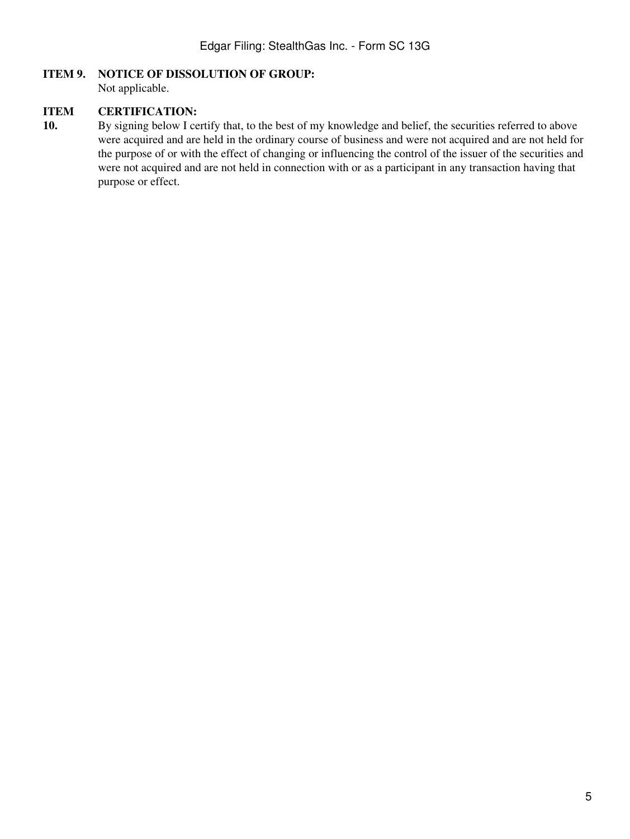## **ITEM 9. NOTICE OF DISSOLUTION OF GROUP:**

Not applicable.

#### **ITEM CERTIFICATION:**

**10.** By signing below I certify that, to the best of my knowledge and belief, the securities referred to above were acquired and are held in the ordinary course of business and were not acquired and are not held for the purpose of or with the effect of changing or influencing the control of the issuer of the securities and were not acquired and are not held in connection with or as a participant in any transaction having that purpose or effect.